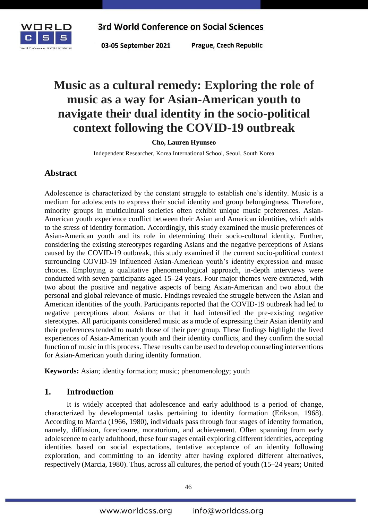

Prague, Czech Republic

# **Music as a cultural remedy: Exploring the role of music as a way for Asian-American youth to navigate their dual identity in the socio-political context following the COVID-19 outbreak**

**Cho, Lauren Hyunseo**

Independent Researcher, Korea International School, Seoul, South Korea

## **Abstract**

Adolescence is characterized by the constant struggle to establish one's identity. Music is a medium for adolescents to express their social identity and group belongingness. Therefore, minority groups in multicultural societies often exhibit unique music preferences. Asian-American youth experience conflict between their Asian and American identities, which adds to the stress of identity formation. Accordingly, this study examined the music preferences of Asian-American youth and its role in determining their socio-cultural identity. Further, considering the existing stereotypes regarding Asians and the negative perceptions of Asians caused by the COVID-19 outbreak, this study examined if the current socio-political context surrounding COVID-19 influenced Asian-American youth's identity expression and music choices. Employing a qualitative phenomenological approach, in-depth interviews were conducted with seven participants aged 15–24 years. Four major themes were extracted, with two about the positive and negative aspects of being Asian-American and two about the personal and global relevance of music. Findings revealed the struggle between the Asian and American identities of the youth. Participants reported that the COVID-19 outbreak had led to negative perceptions about Asians or that it had intensified the pre-existing negative stereotypes. All participants considered music as a mode of expressing their Asian identity and their preferences tended to match those of their peer group. These findings highlight the lived experiences of Asian-American youth and their identity conflicts, and they confirm the social function of music in this process. These results can be used to develop counseling interventions for Asian-American youth during identity formation.

**Keywords:** Asian; identity formation; music; phenomenology; youth

## **1. Introduction**

It is widely accepted that adolescence and early adulthood is a period of change, characterized by developmental tasks pertaining to identity formation (Erikson, 1968). According to Marcia (1966, 1980), individuals pass through four stages of identity formation, namely, diffusion, foreclosure, moratorium, and achievement. Often spanning from early adolescence to early adulthood, these four stages entail exploring different identities, accepting identities based on social expectations, tentative acceptance of an identity following exploration, and committing to an identity after having explored different alternatives, respectively (Marcia, 1980). Thus, across all cultures, the period of youth (15–24 years; United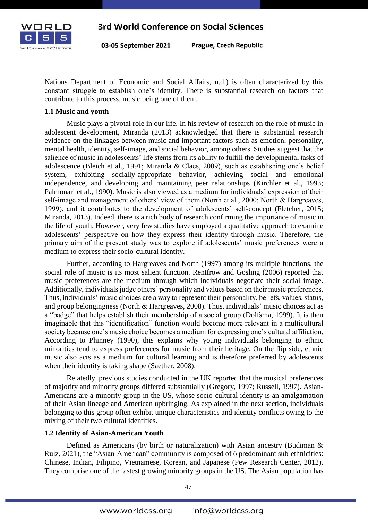

Prague, Czech Republic

Nations Department of Economic and Social Affairs, n.d.) is often characterized by this constant struggle to establish one's identity. There is substantial research on factors that contribute to this process, music being one of them.

#### **1.1 Music and youth**

Music plays a pivotal role in our life. In his review of research on the role of music in adolescent development, Miranda (2013) acknowledged that there is substantial research evidence on the linkages between music and important factors such as emotion, personality, mental health, identity, self-image, and social behavior, among others. Studies suggest that the salience of music in adolescents' life stems from its ability to fulfill the developmental tasks of adolescence (Bleich et al., 1991; Miranda & Claes, 2009), such as establishing one's belief system, exhibiting socially-appropriate behavior, achieving social and emotional independence, and developing and maintaining peer relationships (Kirchler et al., 1993; Palmonari et al., 1990). Music is also viewed as a medium for individuals' expression of their self-image and management of others' view of them (North et al., 2000; North & Hargreaves, 1999), and it contributes to the development of adolescents' self-concept (Fletcher, 2015; Miranda, 2013). Indeed, there is a rich body of research confirming the importance of music in the life of youth. However, very few studies have employed a qualitative approach to examine adolescents' perspective on how they express their identity through music. Therefore, the primary aim of the present study was to explore if adolescents' music preferences were a medium to express their socio-cultural identity.

Further, according to Hargreaves and North (1997) among its multiple functions, the social role of music is its most salient function. Rentfrow and Gosling (2006) reported that music preferences are the medium through which individuals negotiate their social image. Additionally, individuals judge others' personality and values based on their music preferences. Thus, individuals' music choices are a way to represent their personality, beliefs, values, status, and group belongingness (North & Hargreaves, 2008). Thus, individuals' music choices act as a "badge" that helps establish their membership of a social group (Dolfsma, 1999). It is then imaginable that this "identification" function would become more relevant in a multicultural society because one's music choice becomes a medium for expressing one's cultural affiliation. According to Phinney (1990), this explains why young individuals belonging to ethnic minorities tend to express preferences for music from their heritage. On the flip side, ethnic music also acts as a medium for cultural learning and is therefore preferred by adolescents when their identity is taking shape (Saether, 2008).

Relatedly, previous studies conducted in the UK reported that the musical preferences of majority and minority groups differed substantially (Gregory, 1997; Russell, 1997). Asian-Americans are a minority group in the US, whose socio-cultural identity is an amalgamation of their Asian lineage and American upbringing. As explained in the next section, individuals belonging to this group often exhibit unique characteristics and identity conflicts owing to the mixing of their two cultural identities.

#### **1.2 Identity of Asian-American Youth**

Defined as Americans (by birth or naturalization) with Asian ancestry (Budiman & Ruiz, 2021), the "Asian-American" community is composed of 6 predominant sub-ethnicities: Chinese, Indian, Filipino, Vietnamese, Korean, and Japanese (Pew Research Center, 2012). They comprise one of the fastest growing minority groups in the US. The Asian population has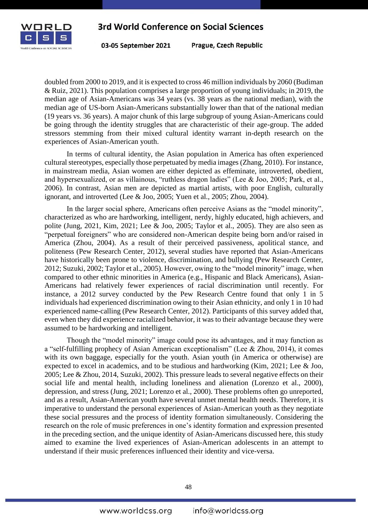

03-05 September 2021

Prague, Czech Republic

doubled from 2000 to 2019, and it is expected to cross 46 million individuals by 2060 (Budiman & Ruiz, 2021). This population comprises a large proportion of young individuals; in 2019, the median age of Asian-Americans was 34 years (vs. 38 years as the national median), with the median age of US-born Asian-Americans substantially lower than that of the national median (19 years vs. 36 years). A major chunk of this large subgroup of young Asian-Americans could be going through the identity struggles that are characteristic of their age-group. The added stressors stemming from their mixed cultural identity warrant in-depth research on the experiences of Asian-American youth.

In terms of cultural identity, the Asian population in America has often experienced cultural stereotypes, especially those perpetuated by media images (Zhang, 2010). For instance, in mainstream media, Asian women are either depicted as effeminate, introverted, obedient, and hypersexualized, or as villainous, "ruthless dragon ladies" (Lee & Joo, 2005; Park, et al., 2006). In contrast, Asian men are depicted as martial artists, with poor English, culturally ignorant, and introverted (Lee & Joo, 2005; Yuen et al., 2005; Zhou, 2004).

In the larger social sphere, Americans often perceive Asians as the "model minority", characterized as who are hardworking, intelligent, nerdy, highly educated, high achievers, and polite (Jung, 2021, Kim, 2021; Lee & Joo, 2005; Taylor et al., 2005). They are also seen as "perpetual foreigners" who are considered non-American despite being born and/or raised in America (Zhou, 2004). As a result of their perceived passiveness, apolitical stance, and politeness (Pew Research Center, 2012), several studies have reported that Asian-Americans have historically been prone to violence, discrimination, and bullying (Pew Research Center, 2012; Suzuki, 2002; Taylor et al., 2005). However, owing to the "model minority" image, when compared to other ethnic minorities in America (e.g., Hispanic and Black Americans), Asian-Americans had relatively fewer experiences of racial discrimination until recently. For instance, a 2012 survey conducted by the Pew Research Centre found that only 1 in 5 individuals had experienced discrimination owing to their Asian ethnicity, and only 1 in 10 had experienced name-calling (Pew Research Center, 2012). Participants of this survey added that, even when they did experience racialized behavior, it was to their advantage because they were assumed to be hardworking and intelligent.

Though the "model minority" image could pose its advantages, and it may function as a "self-fulfilling prophecy of Asian American exceptionalism" (Lee & Zhou, 2014), it comes with its own baggage, especially for the youth. Asian youth (in America or otherwise) are expected to excel in academics, and to be studious and hardworking (Kim, 2021; Lee & Joo, 2005; Lee & Zhou, 2014, Suzuki, 2002). This pressure leads to several negative effects on their social life and mental health, including loneliness and alienation (Lorenzo et al., 2000), depression, and stress (Jung, 2021; Lorenzo et al., 2000). These problems often go unreported, and as a result, Asian-American youth have several unmet mental health needs. Therefore, it is imperative to understand the personal experiences of Asian-American youth as they negotiate these social pressures and the process of identity formation simultaneously. Considering the research on the role of music preferences in one's identity formation and expression presented in the preceding section, and the unique identity of Asian-Americans discussed here, this study aimed to examine the lived experiences of Asian-American adolescents in an attempt to understand if their music preferences influenced their identity and vice-versa.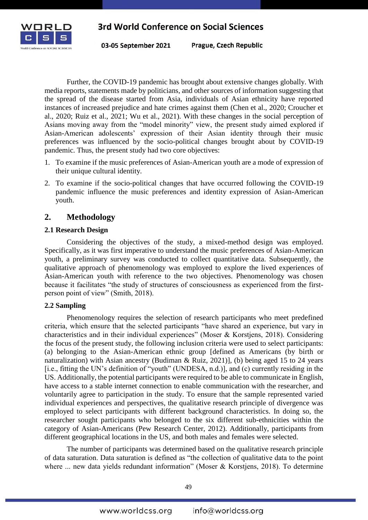

03-05 September 2021

Prague, Czech Republic

Further, the COVID-19 pandemic has brought about extensive changes globally. With media reports, statements made by politicians, and other sources of information suggesting that the spread of the disease started from Asia, individuals of Asian ethnicity have reported instances of increased prejudice and hate crimes against them (Chen et al., 2020; Croucher et al., 2020; Ruiz et al., 2021; Wu et al., 2021). With these changes in the social perception of Asians moving away from the "model minority" view, the present study aimed explored if Asian-American adolescents' expression of their Asian identity through their music preferences was influenced by the socio-political changes brought about by COVID-19 pandemic. Thus, the present study had two core objectives:

- 1. To examine if the music preferences of Asian-American youth are a mode of expression of their unique cultural identity.
- 2. To examine if the socio-political changes that have occurred following the COVID-19 pandemic influence the music preferences and identity expression of Asian-American youth.

## **2. Methodology**

#### **2.1 Research Design**

Considering the objectives of the study, a mixed-method design was employed. Specifically, as it was first imperative to understand the music preferences of Asian-American youth, a preliminary survey was conducted to collect quantitative data. Subsequently, the qualitative approach of phenomenology was employed to explore the lived experiences of Asian-American youth with reference to the two objectives. Phenomenology was chosen because it facilitates "the study of structures of consciousness as experienced from the firstperson point of view" (Smith, 2018).

#### **2.2 Sampling**

Phenomenology requires the selection of research participants who meet predefined criteria, which ensure that the selected participants "have shared an experience, but vary in characteristics and in their individual experiences" (Moser & Korstjens, 2018). Considering the focus of the present study, the following inclusion criteria were used to select participants: (a) belonging to the Asian-American ethnic group [defined as Americans (by birth or naturalization) with Asian ancestry (Budiman & Ruiz, 2021)], (b) being aged 15 to 24 years [i.e., fitting the UN's definition of "youth" (UNDESA, n.d.)], and (c) currently residing in the US. Additionally, the potential participants were required to be able to communicate in English, have access to a stable internet connection to enable communication with the researcher, and voluntarily agree to participation in the study. To ensure that the sample represented varied individual experiences and perspectives, the qualitative research principle of divergence was employed to select participants with different background characteristics. In doing so, the researcher sought participants who belonged to the six different sub-ethnicities within the category of Asian-Americans (Pew Research Center, 2012). Additionally, participants from different geographical locations in the US, and both males and females were selected.

The number of participants was determined based on the qualitative research principle of data saturation. Data saturation is defined as "the collection of qualitative data to the point where ... new data yields redundant information" (Moser & Korstjens, 2018). To determine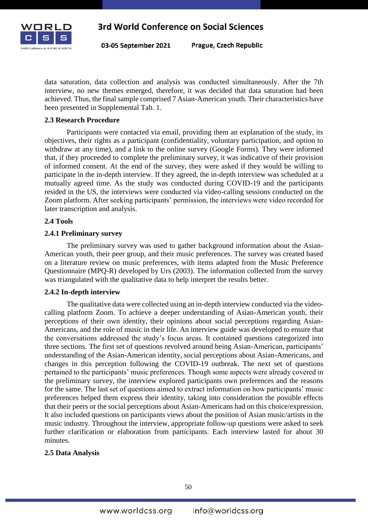

Prague, Czech Republic

data saturation, data collection and analysis was conducted simultaneously. After the 7th interview, no new themes emerged, therefore, it was decided that data saturation had been achieved. Thus, the final sample comprised 7 Asian-American youth. Their characteristics have been presented in Supplemental Tab. 1.

#### **2.3 Research Procedure**

Participants were contacted via email, providing them an explanation of the study, its objectives, their rights as a participant (confidentiality, voluntary participation, and option to withdraw at any time), and a link to the online survey (Google Forms). They were informed that, if they proceeded to complete the preliminary survey, it was indicative of their provision of informed consent. At the end of the survey, they were asked if they would be willing to participate in the in-depth interview. If they agreed, the in-depth interview was scheduled at a mutually agreed time. As the study was conducted during COVID-19 and the participants resided in the US, the interviews were conducted via video-calling sessions conducted on the Zoom platform. After seeking participants' permission, the interviews were video recorded for later transcription and analysis.

#### **2.4 Tools**

#### **2.4.1 Preliminary survey**

The preliminary survey was used to gather background information about the Asian-American youth, their peer group, and their music preferences. The survey was created based on a literature review on music preferences, with items adapted from the Music Preference Questionnaire (MPQ-R) developed by Urs (2003). The information collected from the survey was triangulated with the qualitative data to help interpret the results better.

#### **2.4.2 In-depth interview**

The qualitative data were collected using an in-depth interview conducted via the videocalling platform Zoom. To achieve a deeper understanding of Asian-American youth, their perceptions of their own identity, their opinions about social perceptions regarding Asian-Americans, and the role of music in their life. An interview guide was developed to ensure that the conversations addressed the study's focus areas. It contained questions categorized into three sections. The first set of questions revolved around being Asian-American, participants' understanding of the Asian-American identity, social perceptions about Asian-Americans, and changes in this perception following the COVID-19 outbreak. The next set of questions pertained to the participants' music preferences. Though some aspects were already covered in the preliminary survey, the interview explored participants own preferences and the reasons for the same. The last set of questions aimed to extract information on how participants' music preferences helped them express their identity, taking into consideration the possible effects that their peers or the social perceptions about Asian-Americans had on this choice/expression. It also included questions on participants views about the position of Asian music/artists in the music industry. Throughout the interview, appropriate follow-up questions were asked to seek further clarification or elaboration from participants. Each interview lasted for about 30 minutes.

#### **2.5 Data Analysis**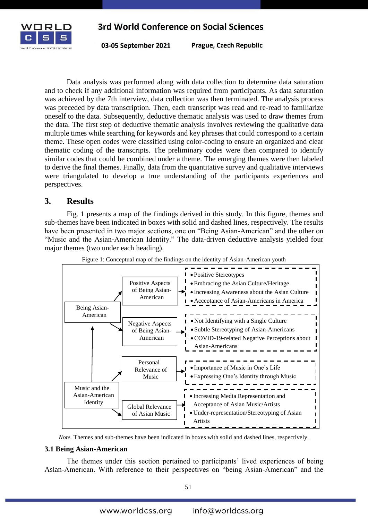

03-05 September 2021

Prague, Czech Republic

Data analysis was performed along with data collection to determine data saturation and to check if any additional information was required from participants. As data saturation was achieved by the 7th interview, data collection was then terminated. The analysis process was preceded by data transcription. Then, each transcript was read and re-read to familiarize oneself to the data. Subsequently, deductive thematic analysis was used to draw themes from the data. The first step of deductive thematic analysis involves reviewing the qualitative data multiple times while searching for keywords and key phrases that could correspond to a certain theme. These open codes were classified using color-coding to ensure an organized and clear thematic coding of the transcripts. The preliminary codes were then compared to identify similar codes that could be combined under a theme. The emerging themes were then labeled to derive the final themes. Finally, data from the quantitative survey and qualitative interviews were triangulated to develop a true understanding of the participants experiences and perspectives.

#### **3. Results**

Fig. 1 presents a map of the findings derived in this study. In this figure, themes and sub-themes have been indicated in boxes with solid and dashed lines, respectively. The results have been presented in two major sections, one on "Being Asian-American" and the other on "Music and the Asian-American Identity." The data-driven deductive analysis yielded four major themes (two under each heading).





*Note.* Themes and sub-themes have been indicated in boxes with solid and dashed lines, respectively.

#### **3.1 Being Asian-American**

The themes under this section pertained to participants' lived experiences of being Asian-American. With reference to their perspectives on "being Asian-American" and the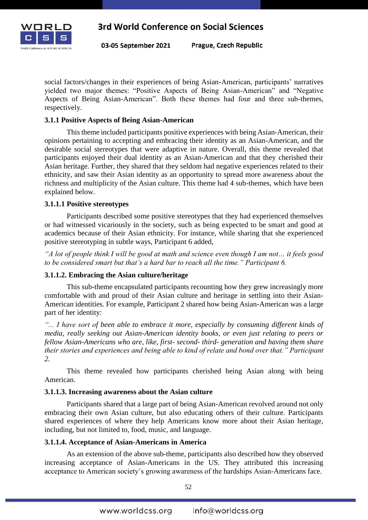

Prague, Czech Republic

social factors/changes in their experiences of being Asian-American, participants' narratives yielded two major themes: "Positive Aspects of Being Asian-American" and "Negative Aspects of Being Asian-American". Both these themes had four and three sub-themes, respectively.

#### **3.1.1 Positive Aspects of Being Asian-American**

This theme included participants positive experiences with being Asian-American, their opinions pertaining to accepting and embracing their identity as an Asian-American, and the desirable social stereotypes that were adaptive in nature. Overall, this theme revealed that participants enjoyed their dual identity as an Asian-American and that they cherished their Asian heritage. Further, they shared that they seldom had negative experiences related to their ethnicity, and saw their Asian identity as an opportunity to spread more awareness about the richness and multiplicity of the Asian culture. This theme had 4 sub-themes, which have been explained below.

#### **3.1.1.1 Positive stereotypes**

Participants described some positive stereotypes that they had experienced themselves or had witnessed vicariously in the society, such as being expected to be smart and good at academics because of their Asian ethnicity. For instance, while sharing that she experienced positive stereotyping in subtle ways, Participant 6 added,

*"A lot of people think I will be good at math and science even though I am not… it feels good to be considered smart but that's a hard bar to reach all the time." Participant 6.*

#### **3.1.1.2. Embracing the Asian culture/heritage**

This sub-theme encapsulated participants recounting how they grew increasingly more comfortable with and proud of their Asian culture and heritage in settling into their Asian-American identities. For example, Participant 2 shared how being Asian-American was a large part of her identity:

*"... I have sort of been able to embrace it more, especially by consuming different kinds of media, really seeking out Asian-American identity books, or even just relating to peers or fellow Asian-Americans who are, like, first- second- third- generation and having them share their stories and experiences and being able to kind of relate and bond over that." Participant 2.*

This theme revealed how participants cherished being Asian along with being American.

#### **3.1.1.3. Increasing awareness about the Asian culture**

Participants shared that a large part of being Asian-American revolved around not only embracing their own Asian culture, but also educating others of their culture. Participants shared experiences of where they help Americans know more about their Asian heritage, including, but not limited to, food, music, and language.

#### **3.1.1.4. Acceptance of Asian-Americans in America**

As an extension of the above sub-theme, participants also described how they observed increasing acceptance of Asian-Americans in the US. They attributed this increasing acceptance to American society's growing awareness of the hardships Asian-Americans face.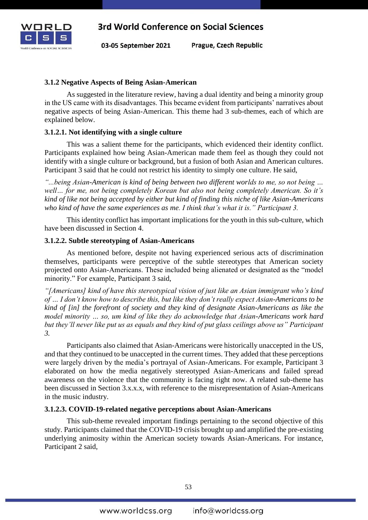

Prague, Czech Republic

#### **3.1.2 Negative Aspects of Being Asian-American**

As suggested in the literature review, having a dual identity and being a minority group in the US came with its disadvantages. This became evident from participants' narratives about negative aspects of being Asian-American. This theme had 3 sub-themes, each of which are explained below.

#### **3.1.2.1. Not identifying with a single culture**

This was a salient theme for the participants, which evidenced their identity conflict. Participants explained how being Asian-American made them feel as though they could not identify with a single culture or background, but a fusion of both Asian and American cultures. Participant 3 said that he could not restrict his identity to simply one culture. He said,

*"...being Asian-American is kind of being between two different worlds to me, so not being … well… for me, not being completely Korean but also not being completely American. So it's kind of like not being accepted by either but kind of finding this niche of like Asian-Americans who kind of have the same experiences as me. I think that's what it is." Participant 3.*

This identity conflict has important implications for the youth in this sub-culture, which have been discussed in Section 4.

#### **3.1.2.2. Subtle stereotyping of Asian-Americans**

As mentioned before, despite not having experienced serious acts of discrimination themselves, participants were perceptive of the subtle stereotypes that American society projected onto Asian-Americans. These included being alienated or designated as the "model minority." For example, Participant 3 said,

*"[Americans] kind of have this stereotypical vision of just like an Asian immigrant who's kind of … I don't know how to describe this, but like they don't really expect Asian-Americans to be kind of [in] the forefront of society and they kind of designate Asian-Americans as like the model minority … so, um kind of like they do acknowledge that Asian-Americans work hard but they'll never like put us as equals and they kind of put glass ceilings above us" Participant 3.*

Participants also claimed that Asian-Americans were historically unaccepted in the US, and that they continued to be unaccepted in the current times. They added that these perceptions were largely driven by the media's portrayal of Asian-Americans. For example, Participant 3 elaborated on how the media negatively stereotyped Asian-Americans and failed spread awareness on the violence that the community is facing right now. A related sub-theme has been discussed in Section 3.x.x.x, with reference to the misrepresentation of Asian-Americans in the music industry.

#### **3.1.2.3. COVID-19-related negative perceptions about Asian-Americans**

This sub-theme revealed important findings pertaining to the second objective of this study. Participants claimed that the COVID-19 crisis brought up and amplified the pre-existing underlying animosity within the American society towards Asian-Americans. For instance, Participant 2 said,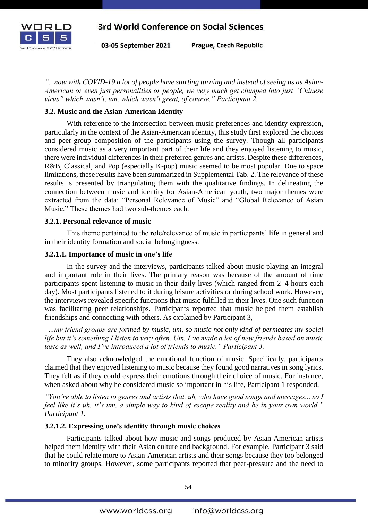

Prague, Czech Republic 03-05 September 2021

*"...now with COVID-19 a lot of people have starting turning and instead of seeing us as Asian-American or even just personalities or people, we very much get clumped into just "Chinese virus" which wasn't, um, which wasn't great, of course." Participant 2.*

#### **3.2. Music and the Asian-American Identity**

With reference to the intersection between music preferences and identity expression, particularly in the context of the Asian-American identity, this study first explored the choices and peer-group composition of the participants using the survey. Though all participants considered music as a very important part of their life and they enjoyed listening to music, there were individual differences in their preferred genres and artists. Despite these differences, R&B, Classical, and Pop (especially K-pop) music seemed to be most popular. Due to space limitations, these results have been summarized in Supplemental Tab. 2. The relevance of these results is presented by triangulating them with the qualitative findings. In delineating the connection between music and identity for Asian-American youth, two major themes were extracted from the data: "Personal Relevance of Music" and "Global Relevance of Asian Music." These themes had two sub-themes each.

#### **3.2.1. Personal relevance of music**

This theme pertained to the role/relevance of music in participants' life in general and in their identity formation and social belongingness.

#### **3.2.1.1. Importance of music in one's life**

In the survey and the interviews, participants talked about music playing an integral and important role in their lives. The primary reason was because of the amount of time participants spent listening to music in their daily lives (which ranged from 2–4 hours each day). Most participants listened to it during leisure activities or during school work. However, the interviews revealed specific functions that music fulfilled in their lives. One such function was facilitating peer relationships. Participants reported that music helped them establish friendships and connecting with others. As explained by Participant 3,

*"...my friend groups are formed by music, um, so music not only kind of permeates my social life but it's something I listen to very often. Um, I've made a lot of new friends based on music taste as well, and I've introduced a lot of friends to music." Participant 3.*

They also acknowledged the emotional function of music. Specifically, participants claimed that they enjoyed listening to music because they found good narratives in song lyrics. They felt as if they could express their emotions through their choice of music. For instance, when asked about why he considered music so important in his life, Participant 1 responded,

*"You're able to listen to genres and artists that, uh, who have good songs and messages... so I feel like it's uh, it's um, a simple way to kind of escape reality and be in your own world." Participant 1.*

### **3.2.1.2. Expressing one's identity through music choices**

Participants talked about how music and songs produced by Asian-American artists helped them identify with their Asian culture and background. For example, Participant 3 said that he could relate more to Asian-American artists and their songs because they too belonged to minority groups. However, some participants reported that peer-pressure and the need to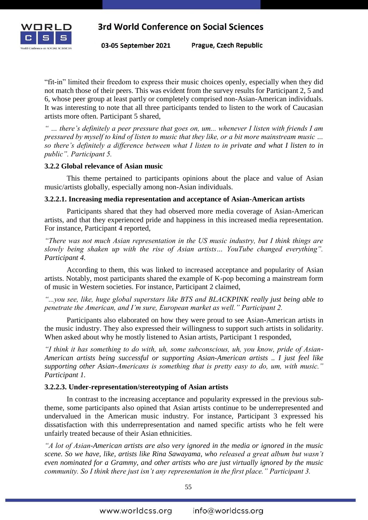

Prague, Czech Republic

"fit-in" limited their freedom to express their music choices openly, especially when they did not match those of their peers. This was evident from the survey results for Participant 2, 5 and 6, whose peer group at least partly or completely comprised non-Asian-American individuals. It was interesting to note that all three participants tended to listen to the work of Caucasian artists more often. Participant 5 shared,

*" … there's definitely a peer pressure that goes on, um... whenever I listen with friends I am pressured by myself to kind of listen to music that they like, or a bit more mainstream music … so there's definitely a difference between what I listen to in private and what I listen to in public". Participant 5.* 

#### **3.2.2 Global relevance of Asian music**

This theme pertained to participants opinions about the place and value of Asian music/artists globally, especially among non-Asian individuals.

#### **3.2.2.1. Increasing media representation and acceptance of Asian-American artists**

Participants shared that they had observed more media coverage of Asian-American artists, and that they experienced pride and happiness in this increased media representation. For instance, Participant 4 reported,

*"There was not much Asian representation in the US music industry, but I think things are slowly being shaken up with the rise of Asian artists… YouTube changed everything". Participant 4.*

According to them, this was linked to increased acceptance and popularity of Asian artists. Notably, most participants shared the example of K-pop becoming a mainstream form of music in Western societies. For instance, Participant 2 claimed,

*"...you see, like, huge global superstars like BTS and BLACKPINK really just being able to penetrate the American, and I'm sure, European market as well." Participant 2.*

Participants also elaborated on how they were proud to see Asian-American artists in the music industry. They also expressed their willingness to support such artists in solidarity. When asked about why he mostly listened to Asian artists, Participant 1 responded,

*"I think it has something to do with, uh, some subconscious, uh, you know, pride of Asian-American artists being successful or supporting Asian-American artists .. I just feel like supporting other Asian-Americans is something that is pretty easy to do, um, with music." Participant 1.* 

#### **3.2.2.3. Under-representation/stereotyping of Asian artists**

In contrast to the increasing acceptance and popularity expressed in the previous subtheme, some participants also opined that Asian artists continue to be underrepresented and undervalued in the American music industry. For instance, Participant 3 expressed his dissatisfaction with this underrepresentation and named specific artists who he felt were unfairly treated because of their Asian ethnicities.

*"A lot of Asian-American artists are also very ignored in the media or ignored in the music scene. So we have, like, artists like Rina Sawayama, who released a great album but wasn't even nominated for a Grammy, and other artists who are just virtually ignored by the music community. So I think there just isn't any representation in the first place." Participant 3.*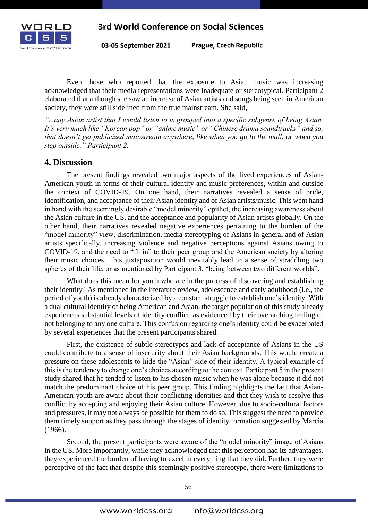

Prague, Czech Republic

Even those who reported that the exposure to Asian music was increasing acknowledged that their media representations were inadequate or stereotypical. Participant 2 elaborated that although she saw an increase of Asian artists and songs being seen in American society, they were still sidelined from the true mainstream. She said,

*"...any Asian artist that I would listen to is grouped into a specific subgenre of being Asian. It's very much like "Korean pop" or "anime music" or "Chinese drama soundtracks" and so, that doesn't get publicized mainstream anywhere, like when you go to the mall, or when you step outside." Participant 2.*

### **4. Discussion**

The present findings revealed two major aspects of the lived experiences of Asian-American youth in terms of their cultural identity and music preferences, within and outside the context of COVID-19. On one hand, their narratives revealed a sense of pride, identification, and acceptance of their Asian identity and of Asian artists/music. This went hand in hand with the seemingly desirable "model minority" epithet, the increasing awareness about the Asian culture in the US, and the acceptance and popularity of Asian artists globally. On the other hand, their narratives revealed negative experiences pertaining to the burden of the "model minority" view, discrimination, media stereotyping of Asians in general and of Asian artists specifically, increasing violence and negative perceptions against Asians owing to COVID-19, and the need to "fit in" to their peer group and the American society by altering their music choices. This juxtaposition would inevitably lead to a sense of straddling two spheres of their life, or as mentioned by Participant 3, "being between two different worlds".

What does this mean for youth who are in the process of discovering and establishing their identity? As mentioned in the literature review, adolescence and early adulthood (i.e., the period of youth) is already characterized by a constant struggle to establish one's identity. With a dual cultural identity of being American and Asian, the target population of this study already experiences substantial levels of identity conflict, as evidenced by their overarching feeling of not belonging to any one culture. This confusion regarding one's identity could be exacerbated by several experiences that the present participants shared.

First, the existence of subtle stereotypes and lack of acceptance of Asians in the US could contribute to a sense of insecurity about their Asian backgrounds. This would create a pressure on these adolescents to hide the "Asian" side of their identity. A typical example of this is the tendency to change one's choices according to the context. Participant 5 in the present study shared that he tended to listen to his chosen music when he was alone because it did not match the predominant choice of his peer group. This finding highlights the fact that Asian-American youth are aware about their conflicting identities and that they wish to resolve this conflict by accepting and enjoying their Asian culture. However, due to socio-cultural factors and pressures, it may not always be possible for them to do so. This suggest the need to provide them timely support as they pass through the stages of identity formation suggested by Marcia (1966).

Second, the present participants were aware of the "model minority" image of Asians in the US. More importantly, while they acknowledged that this perception had its advantages, they experienced the burden of having to excel in everything that they did. Further, they were perceptive of the fact that despite this seemingly positive stereotype, there were limitations to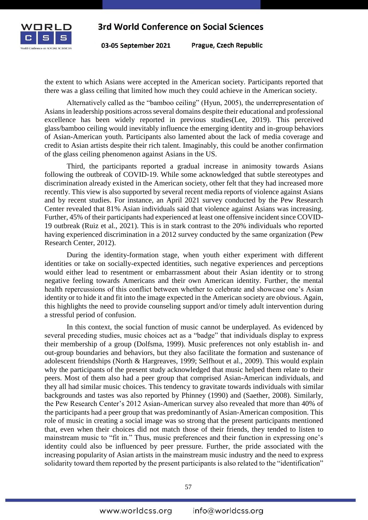

03-05 September 2021

Prague, Czech Republic

the extent to which Asians were accepted in the American society. Participants reported that there was a glass ceiling that limited how much they could achieve in the American society.

Alternatively called as the "bamboo ceiling" (Hyun, 2005), the underrepresentation of Asians in leadership positions across several domains despite their educational and professional excellence has been widely reported in previous studies(Lee, 2019). This perceived glass/bamboo ceiling would inevitably influence the emerging identity and in-group behaviors of Asian-American youth. Participants also lamented about the lack of media coverage and credit to Asian artists despite their rich talent. Imaginably, this could be another confirmation of the glass ceiling phenomenon against Asians in the US.

Third, the participants reported a gradual increase in animosity towards Asians following the outbreak of COVID-19. While some acknowledged that subtle stereotypes and discrimination already existed in the American society, other felt that they had increased more recently. This view is also supported by several recent media reports of violence against Asians and by recent studies. For instance, an April 2021 survey conducted by the Pew Research Center revealed that 81% Asian individuals said that violence against Asians was increasing. Further, 45% of their participants had experienced at least one offensive incident since COVID-19 outbreak (Ruiz et al., 2021). This is in stark contrast to the 20% individuals who reported having experienced discrimination in a 2012 survey conducted by the same organization (Pew Research Center, 2012).

During the identity-formation stage, when youth either experiment with different identities or take on socially-expected identities, such negative experiences and perceptions would either lead to resentment or embarrassment about their Asian identity or to strong negative feeling towards Americans and their own American identity. Further, the mental health repercussions of this conflict between whether to celebrate and showcase one's Asian identity or to hide it and fit into the image expected in the American society are obvious. Again, this highlights the need to provide counseling support and/or timely adult intervention during a stressful period of confusion.

In this context, the social function of music cannot be underplayed. As evidenced by several preceding studies, music choices act as a "badge" that individuals display to express their membership of a group (Dolfsma, 1999). Music preferences not only establish in- and out-group boundaries and behaviors, but they also facilitate the formation and sustenance of adolescent friendships (North & Hargreaves, 1999; Selfhout et al., 2009). This would explain why the participants of the present study acknowledged that music helped them relate to their peers. Most of them also had a peer group that comprised Asian-American individuals, and they all had similar music choices. This tendency to gravitate towards individuals with similar backgrounds and tastes was also reported by Phinney (1990) and (Saether, 2008). Similarly, the Pew Research Center's 2012 Asian-American survey also revealed that more than 40% of the participants had a peer group that was predominantly of Asian-American composition. This role of music in creating a social image was so strong that the present participants mentioned that, even when their choices did not match those of their friends, they tended to listen to mainstream music to "fit in." Thus, music preferences and their function in expressing one's identity could also be influenced by peer pressure. Further, the pride associated with the increasing popularity of Asian artists in the mainstream music industry and the need to express solidarity toward them reported by the present participants is also related to the "identification"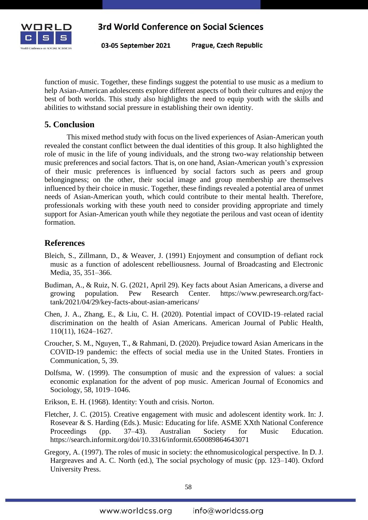

Prague, Czech Republic

function of music. Together, these findings suggest the potential to use music as a medium to help Asian-American adolescents explore different aspects of both their cultures and enjoy the best of both worlds. This study also highlights the need to equip youth with the skills and abilities to withstand social pressure in establishing their own identity.

## **5. Conclusion**

This mixed method study with focus on the lived experiences of Asian-American youth revealed the constant conflict between the dual identities of this group. It also highlighted the role of music in the life of young individuals, and the strong two-way relationship between music preferences and social factors. That is, on one hand, Asian-American youth's expression of their music preferences is influenced by social factors such as peers and group belongingness; on the other, their social image and group membership are themselves influenced by their choice in music. Together, these findings revealed a potential area of unmet needs of Asian-American youth, which could contribute to their mental health. Therefore, professionals working with these youth need to consider providing appropriate and timely support for Asian-American youth while they negotiate the perilous and vast ocean of identity formation.

## **References**

- Bleich, S., Zillmann, D., & Weaver, J. (1991) Enjoyment and consumption of defiant rock music as a function of adolescent rebelliousness. Journal of Broadcasting and Electronic Media, 35, 351–366.
- Budiman, A., & Ruiz, N. G. (2021, April 29). Key facts about Asian Americans, a diverse and growing population. Pew Research Center. https://www.pewresearch.org/facttank/2021/04/29/key-facts-about-asian-americans/
- Chen, J. A., Zhang, E., & Liu, C. H. (2020). Potential impact of COVID-19–related racial discrimination on the health of Asian Americans. American Journal of Public Health, 110(11), 1624–1627.
- Croucher, S. M., Nguyen, T., & Rahmani, D. (2020). Prejudice toward Asian Americans in the COVID-19 pandemic: the effects of social media use in the United States. Frontiers in Communication, 5, 39.
- Dolfsma, W. (1999). The consumption of music and the expression of values: a social economic explanation for the advent of pop music. American Journal of Economics and Sociology, 58, 1019–1046.
- Erikson, E. H. (1968). Identity: Youth and crisis. Norton.
- Fletcher, J. C. (2015). Creative engagement with music and adolescent identity work. In: J. Rosevear & S. Harding (Eds.). Music: Educating for life. ASME XXth National Conference Proceedings (pp. 37–43). Australian Society for Music Education. https://search.informit.org/doi/10.3316/informit.650089864643071
- Gregory, A. (1997). The roles of music in society: the ethnomusicological perspective. In D. J. Hargreaves and A. C. North (ed.), The social psychology of music (pp. 123–140). Oxford University Press.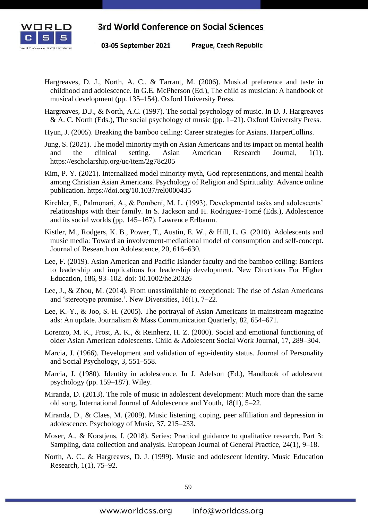

03-05 September 2021

Prague, Czech Republic

- Hargreaves, D. J., North, A. C., & Tarrant, M. (2006). Musical preference and taste in childhood and adolescence. In G.E. McPherson (Ed.), The child as musician: A handbook of musical development (pp. 135–154). Oxford University Press.
- Hargreaves, D.J., & North, A.C. (1997). The social psychology of music. In D. J. Hargreaves & A. C. North (Eds.), The social psychology of music (pp. 1–21). Oxford University Press.
- Hyun, J. (2005). Breaking the bamboo ceiling: Career strategies for Asians. HarperCollins.
- Jung, S. (2021). The model minority myth on Asian Americans and its impact on mental health and the clinical setting. Asian American Research Journal, 1(1). https://escholarship.org/uc/item/2g78c205
- Kim, P. Y. (2021). Internalized model minority myth, God representations, and mental health among Christian Asian Americans. Psychology of Religion and Spirituality. Advance online publication. https://doi.org/10.1037/rel0000435
- Kirchler, E., Palmonari, A., & Pombeni, M. L. (1993). Developmental tasks and adolescents' relationships with their family. In S. Jackson and H. Rodriguez-Tomé (Eds.), Adolescence and its social worlds (pp. 145–167). Lawrence Erlbaum.
- Kistler, M., Rodgers, K. B., Power, T., Austin, E. W., & Hill, L. G. (2010). Adolescents and music media: Toward an involvement-mediational model of consumption and self-concept. Journal of Research on Adolescence, 20, 616–630.
- Lee, F. (2019). Asian American and Pacific Islander faculty and the bamboo ceiling: Barriers to leadership and implications for leadership development. New Directions For Higher Education, 186, 93–102. doi: 10.1002/he.20326
- Lee, J., & Zhou, M. (2014). From unassimilable to exceptional: The rise of Asian Americans and 'stereotype promise.'. New Diversities, 16(1), 7–22.
- Lee, K.-Y., & Joo, S.-H. (2005). The portrayal of Asian Americans in mainstream magazine ads: An update. Journalism & Mass Communication Quarterly, 82, 654–671.
- Lorenzo, M. K., Frost, A. K., & Reinherz, H. Z. (2000). Social and emotional functioning of older Asian American adolescents. Child & Adolescent Social Work Journal, 17, 289–304.
- Marcia, J. (1966). Development and validation of ego-identity status. Journal of Personality and Social Psychology, 3, 551–558.
- Marcia, J. (1980). Identity in adolescence. In J. Adelson (Ed.), Handbook of adolescent psychology (pp. 159–187). Wiley.
- Miranda, D. (2013). The role of music in adolescent development: Much more than the same old song. International Journal of Adolescence and Youth, 18(1), 5–22.
- Miranda, D., & Claes, M. (2009). Music listening, coping, peer affiliation and depression in adolescence. Psychology of Music, 37, 215–233.
- Moser, A., & Korstjens, I. (2018). Series: Practical guidance to qualitative research. Part 3: Sampling, data collection and analysis. European Journal of General Practice, 24(1), 9–18.
- North, A. C., & Hargreaves, D. J. (1999). Music and adolescent identity. Music Education Research, 1(1), 75–92.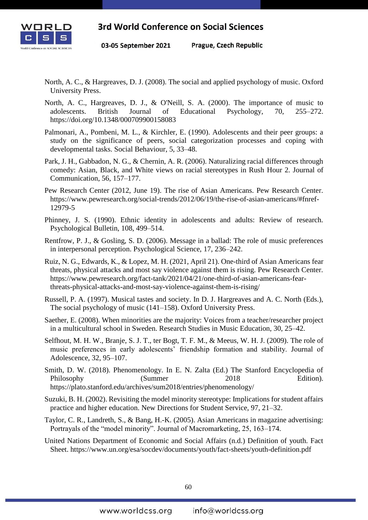

03-05 September 2021 Prague, Czech Republic

- North, A. C., & Hargreaves, D. J. (2008). The social and applied psychology of music. Oxford University Press.
- North, A. C., Hargreaves, D. J., & O'Neill, S. A. (2000). The importance of music to adolescents. British Journal of Educational Psychology, 70, 255–272. https://doi.org/10.1348/000709900158083
- Palmonari, A., Pombeni, M. L., & Kirchler, E. (1990). Adolescents and their peer groups: a study on the significance of peers, social categorization processes and coping with developmental tasks. Social Behaviour, 5, 33–48.
- Park, J. H., Gabbadon, N. G., & Chernin, A. R. (2006). Naturalizing racial differences through comedy: Asian, Black, and White views on racial stereotypes in Rush Hour 2. Journal of Communication, 56, 157–177.
- Pew Research Center (2012, June 19). The rise of Asian Americans. Pew Research Center. https://www.pewresearch.org/social-trends/2012/06/19/the-rise-of-asian-americans/#fnref-12979-5
- Phinney, J. S. (1990). Ethnic identity in adolescents and adults: Review of research. Psychological Bulletin, 108, 499–514.
- Rentfrow, P. J., & Gosling, S. D. (2006). Message in a ballad: The role of music preferences in interpersonal perception. Psychological Science, 17, 236–242.
- Ruiz, N. G., Edwards, K., & Lopez, M. H. (2021, April 21). One-third of Asian Americans fear threats, physical attacks and most say violence against them is rising. Pew Research Center. https://www.pewresearch.org/fact-tank/2021/04/21/one-third-of-asian-americans-fearthreats-physical-attacks-and-most-say-violence-against-them-is-rising/
- Russell, P. A. (1997). Musical tastes and society. In D. J. Hargreaves and A. C. North (Eds.), The social psychology of music (141–158). Oxford University Press.
- Saether, E. (2008). When minorities are the majority: Voices from a teacher/researcher project in a multicultural school in Sweden. Research Studies in Music Education, 30, 25–42.
- Selfhout, M. H. W., Branje, S. J. T., ter Bogt, T. F. M., & Meeus, W. H. J. (2009). The role of music preferences in early adolescents' friendship formation and stability. Journal of Adolescence, 32, 95–107.
- Smith, D. W. (2018). Phenomenology. In E. N. Zalta (Ed.) The Stanford Encyclopedia of Philosophy (Summer 2018 Edition). https://plato.stanford.edu/archives/sum2018/entries/phenomenology/
- Suzuki, B. H. (2002). Revisiting the model minority stereotype: Implications for student affairs practice and higher education. New Directions for Student Service, 97, 21–32.
- Taylor, C. R., Landreth, S., & Bang, H.-K. (2005). Asian Americans in magazine advertising: Portrayals of the "model minority". Journal of Macromarketing, 25, 163–174.
- United Nations Department of Economic and Social Affairs (n.d.) Definition of youth. Fact Sheet. https://www.un.org/esa/socdev/documents/youth/fact-sheets/youth-definition.pdf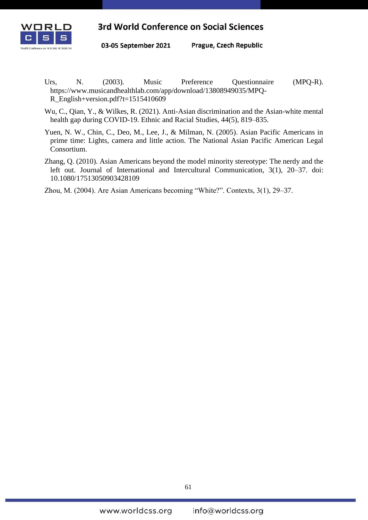

Prague, Czech Republic 03-05 September 2021

- Urs, N. (2003). Music Preference Questionnaire (MPQ-R). https://www.musicandhealthlab.com/app/download/13808949035/MPQ-R\_English+version.pdf?t=1515410609
- Wu, C., Qian, Y., & Wilkes, R. (2021). Anti-Asian discrimination and the Asian-white mental health gap during COVID-19. Ethnic and Racial Studies, 44(5), 819–835.
- Yuen, N. W., Chin, C., Deo, M., Lee, J., & Milman, N. (2005). Asian Pacific Americans in prime time: Lights, camera and little action. The National Asian Pacific American Legal Consortium.
- Zhang, Q. (2010). Asian Americans beyond the model minority stereotype: The nerdy and the left out. Journal of International and Intercultural Communication, 3(1), 20–37. doi: 10.1080/17513050903428109
- Zhou, M. (2004). Are Asian Americans becoming "White?". Contexts, 3(1), 29–37.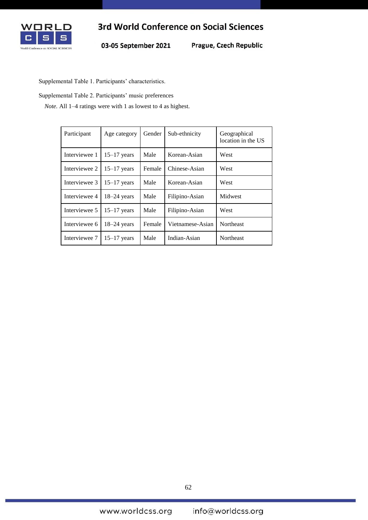

Prague, Czech Republic

Supplemental Table 1. Participants' characteristics.

Supplemental Table 2. Participants' music preferences

*Note.* All 1–4 ratings were with 1 as lowest to 4 as highest.

| Participant   | Age category  | Gender | Sub-ethnicity    | Geographical<br>location in the US |
|---------------|---------------|--------|------------------|------------------------------------|
| Interviewee 1 | $15-17$ years | Male   | Korean-Asian     | West                               |
| Interviewee 2 | $15-17$ years | Female | Chinese-Asian    | West                               |
| Interviewee 3 | $15-17$ years | Male   | Korean-Asian     | West                               |
| Interviewee 4 | $18-24$ years | Male   | Filipino-Asian   | Midwest                            |
| Interviewee 5 | $15-17$ years | Male   | Filipino-Asian   | West                               |
| Interviewee 6 | $18-24$ years | Female | Vietnamese-Asian | <b>Northeast</b>                   |
| Interviewee 7 | $15-17$ years | Male   | Indian-Asian     | <b>Northeast</b>                   |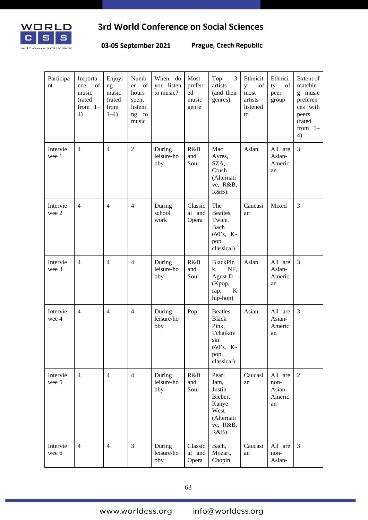

03-05 September 2021

Prague, Czech Republic

| Participa<br>nt   | Importa<br>of<br>nce<br>music<br>(rated<br>from $1-$<br>4) | Enjoyi<br>ng<br>music<br>(rated<br>from<br>$1-4)$ | Numb<br>of<br>er<br>hours<br>spent<br>listeni<br>ng<br>to<br>music | When do<br>you listen<br>to music? | Most<br>preferr<br>ed<br>music<br>genre | Top<br>3<br>artists<br>(and their<br>genres)                                              | Ethnicit<br>of<br>y<br>most<br>artists<br>listened<br>to | Ethnici<br>ty<br>of<br>peer<br>group      | Extent of<br>matchin<br>g music<br>preferen<br>ces with<br>peers<br>(rated<br>from $1-$<br>4) |
|-------------------|------------------------------------------------------------|---------------------------------------------------|--------------------------------------------------------------------|------------------------------------|-----------------------------------------|-------------------------------------------------------------------------------------------|----------------------------------------------------------|-------------------------------------------|-----------------------------------------------------------------------------------------------|
| Intervie<br>wee 1 | $\overline{4}$                                             | $\overline{4}$                                    | $\overline{2}$                                                     | During<br>leisure/ho<br>bby        | R&B<br>and<br>Soul                      | Mac<br>Ayres,<br>SZA,<br>Crush<br>(Alternati<br>ve, R&B,<br>R&B)                          | Asian                                                    | All are<br>Asian-<br>Americ<br>an         | 3                                                                                             |
| Intervie<br>wee 2 | $\overline{4}$                                             | $\overline{4}$                                    | $\overline{4}$                                                     | During<br>school<br>work           | Classic<br>al and<br>Opera              | The<br>Beatles,<br>Twice,<br>Bach<br>$(60's, K-$<br>pop,<br>classical)                    | Caucasi<br>an                                            | Mixed                                     | $\mathfrak{Z}$                                                                                |
| Intervie<br>wee 3 | $\overline{4}$                                             | $\overline{4}$                                    | $\overline{4}$                                                     | During<br>leisure/ho<br>bby        | R&B<br>and<br>Soul                      | <b>BlackPin</b><br>NF,<br>k,<br>Agust D<br>(Kpop,<br>$\rm K$<br>rap,<br>hip-hop)          | Asian                                                    | All are<br>Asian-<br>Americ<br>an         | 3                                                                                             |
| Intervie<br>wee 4 | $\overline{4}$                                             | $\overline{4}$                                    | $\overline{4}$                                                     | During<br>leisure/ho<br>bby        | Pop                                     | Beatles,<br><b>Black</b><br>Pink,<br>Tchaikov<br>ski<br>$(60's, K-$<br>pop,<br>classical) | Asian                                                    | All are<br>Asian-<br>Americ<br>an         | 3                                                                                             |
| Intervie<br>wee 5 | $\overline{4}$                                             | $\overline{4}$                                    | $\overline{4}$                                                     | During<br>leisure/ho<br>bby        | R&B<br>and<br>Soul                      | Pearl<br>Jam,<br>Justin<br>Bieber,<br>Kanye<br>West<br>(Alternati<br>ve, R&B,<br>R&B)     | Caucasi<br>an                                            | All are<br>non-<br>Asian-<br>Americ<br>an | $\overline{2}$                                                                                |
| Intervie<br>wee 6 | $\overline{4}$                                             | $\overline{4}$                                    | 3                                                                  | During<br>leisure/ho<br>bby        | Classic<br>al and<br>Opera              | Bach,<br>Mozart,<br>Chopin                                                                | Caucasi<br>an                                            | All are<br>non-<br>Asian-                 | 3                                                                                             |